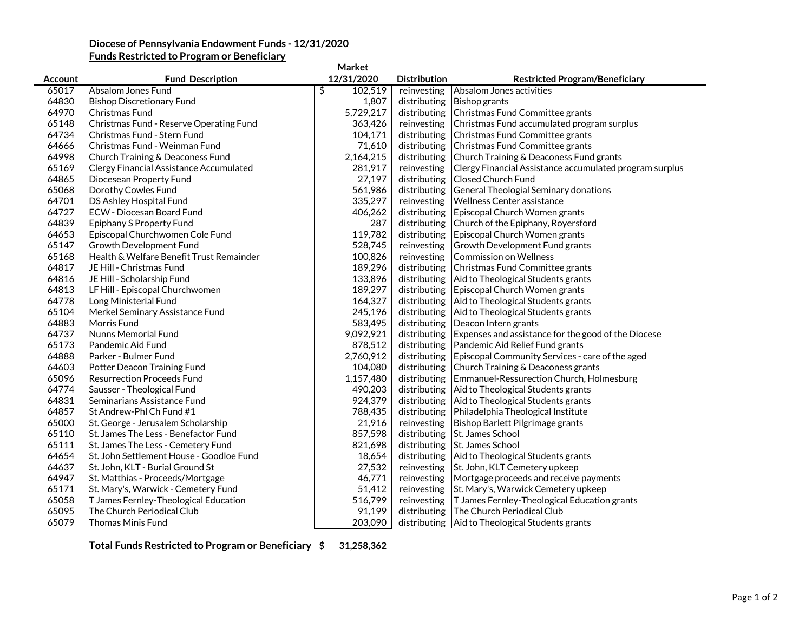## **Diocese of Pennsylvania Endowment Funds - 12/31/2020**

| <b>Funds Restricted to Program or Beneficiary</b> |  |
|---------------------------------------------------|--|
|                                                   |  |

| Market  |                                          |               |                     |                                                         |  |  |
|---------|------------------------------------------|---------------|---------------------|---------------------------------------------------------|--|--|
| Account | <b>Fund Description</b>                  | 12/31/2020    | <b>Distribution</b> | <b>Restricted Program/Beneficiary</b>                   |  |  |
| 65017   | Absalom Jones Fund                       | \$<br>102,519 | reinvesting         | Absalom Jones activities                                |  |  |
| 64830   | <b>Bishop Discretionary Fund</b>         | 1,807         | distributing        | <b>Bishop grants</b>                                    |  |  |
| 64970   | Christmas Fund                           | 5,729,217     | distributing        | Christmas Fund Committee grants                         |  |  |
| 65148   | Christmas Fund - Reserve Operating Fund  | 363,426       | reinvesting         | Christmas Fund accumulated program surplus              |  |  |
| 64734   | Christmas Fund - Stern Fund              | 104,171       | distributing        | Christmas Fund Committee grants                         |  |  |
| 64666   | Christmas Fund - Weinman Fund            | 71,610        | distributing        | Christmas Fund Committee grants                         |  |  |
| 64998   | Church Training & Deaconess Fund         | 2,164,215     | distributing        | Church Training & Deaconess Fund grants                 |  |  |
| 65169   | Clergy Financial Assistance Accumulated  | 281,917       | reinvesting         | Clergy Financial Assistance accumulated program surplus |  |  |
| 64865   | Diocesean Property Fund                  | 27,197        | distributing        | Closed Church Fund                                      |  |  |
| 65068   | Dorothy Cowles Fund                      | 561,986       | distributing        | General Theologial Seminary donations                   |  |  |
| 64701   | DS Ashley Hospital Fund                  | 335,297       | reinvesting         | <b>Wellness Center assistance</b>                       |  |  |
| 64727   | <b>ECW - Diocesan Board Fund</b>         | 406,262       | distributing        | Episcopal Church Women grants                           |  |  |
| 64839   | Epiphany S Property Fund                 | 287           | distributing        | Church of the Epiphany, Royersford                      |  |  |
| 64653   | Episcopal Churchwomen Cole Fund          | 119,782       | distributing        | Episcopal Church Women grants                           |  |  |
| 65147   | Growth Development Fund                  | 528,745       | reinvesting         | Growth Development Fund grants                          |  |  |
| 65168   | Health & Welfare Benefit Trust Remainder | 100,826       | reinvesting         | <b>Commission on Wellness</b>                           |  |  |
| 64817   | JE Hill - Christmas Fund                 | 189,296       | distributing        | Christmas Fund Committee grants                         |  |  |
| 64816   | JE Hill - Scholarship Fund               | 133,896       | distributing        | Aid to Theological Students grants                      |  |  |
| 64813   | LF Hill - Episcopal Churchwomen          | 189,297       | distributing        | Episcopal Church Women grants                           |  |  |
| 64778   | Long Ministerial Fund                    | 164,327       | distributing        | Aid to Theological Students grants                      |  |  |
| 65104   | Merkel Seminary Assistance Fund          | 245,196       | distributing        | Aid to Theological Students grants                      |  |  |
| 64883   | Morris Fund                              | 583,495       | distributing        | Deacon Intern grants                                    |  |  |
| 64737   | Nunns Memorial Fund                      | 9,092,921     | distributing        | Expenses and assistance for the good of the Diocese     |  |  |
| 65173   | Pandemic Aid Fund                        | 878,512       | distributing        | Pandemic Aid Relief Fund grants                         |  |  |
| 64888   | Parker - Bulmer Fund                     | 2,760,912     | distributing        | Episcopal Community Services - care of the aged         |  |  |
| 64603   | Potter Deacon Training Fund              | 104,080       | distributing        | Church Training & Deaconess grants                      |  |  |
| 65096   | <b>Resurrection Proceeds Fund</b>        | 1,157,480     | distributing        | Emmanuel-Ressurection Church, Holmesburg                |  |  |
| 64774   | Sausser - Theological Fund               | 490,203       | distributing        | Aid to Theological Students grants                      |  |  |
| 64831   | Seminarians Assistance Fund              | 924,379       | distributing        | Aid to Theological Students grants                      |  |  |
| 64857   | St Andrew-Phl Ch Fund #1                 | 788,435       | distributing        | Philadelphia Theological Institute                      |  |  |
| 65000   | St. George - Jerusalem Scholarship       | 21,916        | reinvesting         | Bishop Barlett Pilgrimage grants                        |  |  |
| 65110   | St. James The Less - Benefactor Fund     | 857,598       | distributing        | St. James School                                        |  |  |
| 65111   | St. James The Less - Cemetery Fund       | 821,698       | distributing        | St. James School                                        |  |  |
| 64654   | St. John Settlement House - Goodloe Fund | 18,654        | distributing        | Aid to Theological Students grants                      |  |  |
| 64637   | St. John, KLT - Burial Ground St         | 27,532        | reinvesting         | St. John, KLT Cemetery upkeep                           |  |  |
| 64947   | St. Matthias - Proceeds/Mortgage         | 46,771        | reinvesting         | Mortgage proceeds and receive payments                  |  |  |
| 65171   | St. Mary's, Warwick - Cemetery Fund      | 51,412        | reinvesting         | St. Mary's, Warwick Cemetery upkeep                     |  |  |
| 65058   | T James Fernley-Theological Education    | 516,799       | reinvesting         | T James Fernley-Theological Education grants            |  |  |
| 65095   | The Church Periodical Club               | 91,199        | distributing        | The Church Periodical Club                              |  |  |
| 65079   | <b>Thomas Minis Fund</b>                 | 203,090       |                     | distributing   Aid to Theological Students grants       |  |  |

**Total Funds Restricted to Program or Beneficiary \$ 31,258,362**